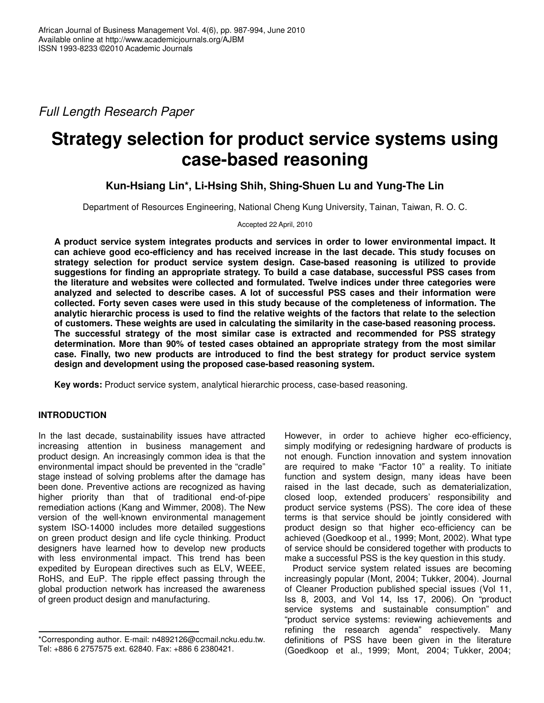*Full Length Research Paper*

# **Strategy selection for product service systems using case-based reasoning**

# **Kun-Hsiang Lin\*, Li-Hsing Shih, Shing-Shuen Lu and Yung-The Lin**

Department of Resources Engineering, National Cheng Kung University, Tainan, Taiwan, R. O. C.

Accepted 22 April, 2010

**A product service system integrates products and services in order to lower environmental impact. It can achieve good eco-efficiency and has received increase in the last decade. This study focuses on strategy selection for product service system design. Case-based reasoning is utilized to provide suggestions for finding an appropriate strategy. To build a case database, successful PSS cases from the literature and websites were collected and formulated. Twelve indices under three categories were analyzed and selected to describe cases. A lot of successful PSS cases and their information were collected. Forty seven cases were used in this study because of the completeness of information. The** analytic hierarchic process is used to find the relative weights of the factors that relate to the selection **of customers. These weights are used in calculating the similarity in the case-based reasoning process. The successful strategy of the most similar case is extracted and recommended for PSS strategy determination. More than 90% of tested cases obtained an appropriate strategy from the most similar case. Finally, two new products are introduced to find the best strategy for product service system design and development using the proposed case-based reasoning system.**

**Key words:** Product service system, analytical hierarchic process, case-based reasoning.

# **INTRODUCTION**

In the last decade, sustainability issues have attracted increasing attention in business management and product design. An increasingly common idea is that the environmental impact should be prevented in the "cradle" stage instead of solving problems after the damage has been done. Preventive actions are recognized as having higher priority than that of traditional end-of-pipe remediation actions (Kang and Wimmer, 2008). The New version of the well-known environmental management system ISO-14000 includes more detailed suggestions on green product design and life cycle thinking. Product designers have learned how to develop new products with less environmental impact. This trend has been expedited by European directives such as ELV, WEEE, RoHS, and EuP. The ripple effect passing through the global production network has increased the awareness of green product design and manufacturing.

However, in order to achieve higher eco-efficiency, simply modifying or redesigning hardware of products is not enough. Function innovation and system innovation are required to make "Factor 10" a reality. To initiate function and system design, many ideas have been raised in the last decade, such as dematerialization, closed loop, extended producers' responsibility and product service systems (PSS). The core idea of these terms is that service should be jointly considered with product design so that higher eco-efficiency can be achieved (Goedkoop et al., 1999; Mont, 2002). What type of service should be considered together with products to make a successful PSS is the key question in this study.

Product service system related issues are becoming increasingly popular (Mont, 2004; Tukker, 2004). Journal of Cleaner Production published special issues (Vol 11, Iss 8, 2003, and Vol 14, Iss 17, 2006). On "product service systems and sustainable consumption" and "product service systems: reviewing achievements and refining the research agenda" respectively. Many definitions of PSS have been given in the literature (Goedkoop et al., 1999; Mont, 2004; Tukker, 2004;

<sup>\*</sup>Corresponding author. E-mail: n4892126@ccmail.ncku.edu.tw. Tel: +886 6 2757575 ext. 62840. Fax: +886 6 2380421.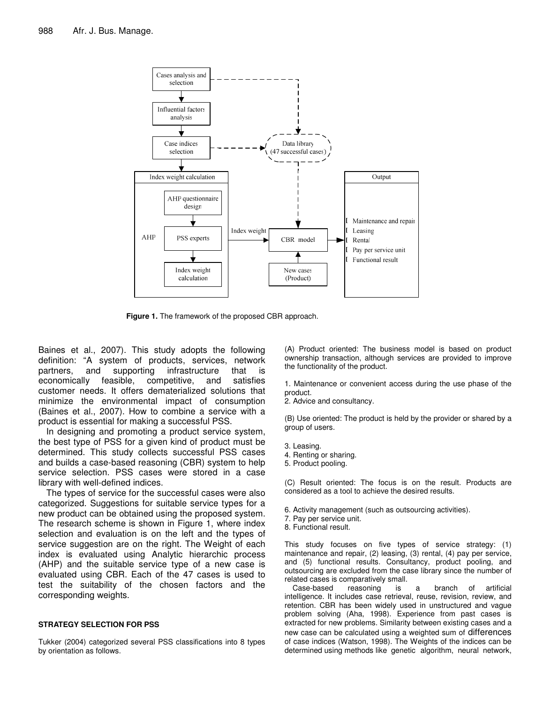

**Figure 1.** The framework of the proposed CBR approach.

Baines et al., 2007). This study adopts the following definition: "A system of products, services, network partners, and supporting infrastructure that is<br>economically feasible, competitive, and satisfies economically feasible, competitive, and satisfies customer needs. It offers dematerialized solutions that minimize the environmental impact of consumption (Baines et al., 2007). How to combine a service with a product is essential for making a successful PSS.

In designing and promoting a product service system, the best type of PSS for a given kind of product must be determined. This study collects successful PSS cases and builds a case-based reasoning (CBR) system to help service selection. PSS cases were stored in a case library with well-defined indices.

The types of service for the successful cases were also categorized. Suggestions for suitable service types for a new product can be obtained using the proposed system. The research scheme is shown in Figure 1, where index selection and evaluation is on the left and the types of service suggestion are on the right. The Weight of each index is evaluated using Analytic hierarchic process (AHP) and the suitable service type of a new case is evaluated using CBR. Each of the 47 cases is used to test the suitability of the chosen factors and the corresponding weights.

### **STRATEGY SELECTION FOR PSS**

Tukker (2004) categorized several PSS classifications into 8 types by orientation as follows.

(A) Product oriented: The business model is based on product ownership transaction, although services are provided to improve the functionality of the product.

1. Maintenance or convenient access during the use phase of the product.

2. Advice and consultancy.

(B) Use oriented: The product is held by the provider or shared by a group of users.

- 3. Leasing.
- 4. Renting or sharing.
- 5. Product pooling.

(C) Result oriented: The focus is on the result. Products are considered as a tool to achieve the desired results.

- 6. Activity management (such as outsourcing activities).
- 7. Pay per service unit.
- 8. Functional result.

This study focuses on five types of service strategy: (1) maintenance and repair, (2) leasing, (3) rental, (4) pay per service, and (5) functional results. Consultancy, product pooling, and outsourcing are excluded from the case library since the number of related cases is comparatively small.

Case-based reasoning is a branch of artificial intelligence. It includes case retrieval, reuse, revision, review, and retention. CBR has been widely used in unstructured and vague problem solving (Aha, 1998). Experience from past cases is extracted for new problems. Similarity between existing cases and a new case can be calculated using a weighted sum of differences of case indices (Watson, 1998). The Weights of the indices can be determined using methods like genetic algorithm, neural network,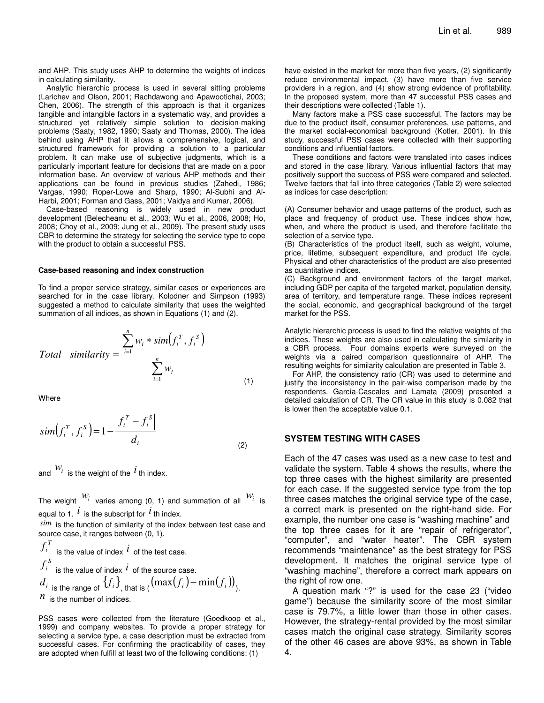and AHP. This study uses AHP to determine the weights of indices in calculating similarity.

Analytic hierarchic process is used in several sitting problems (Larichev and Olson, 2001; Rachdawong and Apawootichai, 2003; Chen, 2006). The strength of this approach is that it organizes tangible and intangible factors in a systematic way, and provides a structured yet relatively simple solution to decision-making problems (Saaty, 1982, 1990; Saaty and Thomas, 2000). The idea behind using AHP that it allows a comprehensive, logical, and structured framework for providing a solution to a particular problem. It can make use of subjective judgments, which is a particularly important feature for decisions that are made on a poor information base. An overview of various AHP methods and their applications can be found in previous studies (Zahedi, 1986; Vargas, 1990; Roper-Lowe and Sharp, 1990; Al-Subhi and Al-Harbi, 2001; Forman and Gass, 2001; Vaidya and Kumar, 2006).

Case-based reasoning is widely used in new product development (Belecheanu et al., 2003; Wu et al., 2006, 2008; Ho, 2008; Choy et al., 2009; Jung et al., 2009). The present study uses CBR to determine the strategy for selecting the service type to cope with the product to obtain a successful PSS.

#### **Case-based reasoning and index construction**

To find a proper service strategy, similar cases or experiences are searched for in the case library. Kolodner and Simpson (1993) suggested a method to calculate similarity that uses the weighted summation of all indices, as shown in Equations (1) and (2).

Total similarity = 
$$
\frac{\sum_{i=1}^{n} w_i * sim(f_i^T, f_i^S)}{\sum_{i=1}^{n} w_i}
$$
 (1)

**Where** 

$$
sim(f_i^T, f_i^S) = 1 - \frac{|f_i^T - f_i^S|}{d_i}
$$
\n(2)

and  $\frac{W_i}{W_i}$  is the weight of the  $\overline{i}$  th index.

The weight  $\frac{W_i}{W_i}$  varies among (0, 1) and summation of all  $\frac{W_i}{W_i}$  is equal to 1.  $^{\textstyle i}$  is the subscript for  $^{\textstyle i}$  th index.

*sim* is the function of similarity of the index between test case and source case, it ranges between (0, 1).

$$
f_i^T
$$
 is the value of index  $i$  of the test case.  
\n
$$
f_i^S
$$
 is the value of index  $i$  of the source case.  
\n
$$
d_i
$$
 is the range of  $\{f_i\}$ , that is  $((\max(f_i) - \min(f_i)))$ .  
\n $n$  is the number of indices.

PSS cases were collected from the literature (Goedkoop et al., 1999) and company websites. To provide a proper strategy for selecting a service type, a case description must be extracted from successful cases. For confirming the practicability of cases, they are adopted when fulfill at least two of the following conditions: (1)

have existed in the market for more than five years, (2) significantly reduce environmental impact, (3) have more than five service providers in a region, and (4) show strong evidence of profitability. In the proposed system, more than 47 successful PSS cases and their descriptions were collected (Table 1).

Many factors make a PSS case successful. The factors may be due to the product itself, consumer preferences, use patterns, and the market social-economical background (Kotler, 2001). In this study, successful PSS cases were collected with their supporting conditions and influential factors.

These conditions and factors were translated into cases indices and stored in the case library. Various influential factors that may positively support the success of PSS were compared and selected. Twelve factors that fall into three categories (Table 2) were selected as indices for case description:

(A) Consumer behavior and usage patterns of the product, such as place and frequency of product use. These indices show how, when, and where the product is used, and therefore facilitate the selection of a service type.

(B) Characteristics of the product itself, such as weight, volume, price, lifetime, subsequent expenditure, and product life cycle. Physical and other characteristics of the product are also presented as quantitative indices.

(C) Background and environment factors of the target market, including GDP per capita of the targeted market, population density, area of territory, and temperature range. These indices represent the social, economic, and geographical background of the target market for the PSS.

Analytic hierarchic process is used to find the relative weights of the indices. These weights are also used in calculating the similarity in a CBR process. Four domains experts were surveyed on the weights via a paired comparison questionnaire of AHP. The resulting weights for similarity calculation are presented in Table 3.

For AHP, the consistency ratio (CR) was used to determine and justify the inconsistency in the pair-wise comparison made by the respondents. García-Cascales and Lamata (2009) presented a detailed calculation of CR. The CR value in this study is 0.082 that is lower then the acceptable value 0.1.

## **SYSTEM TESTING WITH CASES**

Each of the 47 cases was used as a new case to test and validate the system. Table 4 shows the results, where the top three cases with the highest similarity are presented for each case. If the suggested service type from the top three cases matches the original service type of the case, a correct mark is presented on the right-hand side. For example, the number one case is "washing machine" and the top three cases for it are "repair of refrigerator", "computer", and "water heater". The CBR system recommends "maintenance" as the best strategy for PSS development. It matches the original service type of "washing machine", therefore a correct mark appears on the right of row one.

A question mark "?" is used for the case 23 ("video game") because the similarity score of the most similar case is 79.7%, a little lower than those in other cases. However, the strategy-rental provided by the most similar cases match the original case strategy. Similarity scores of the other 46 cases are above 93%, as shown in Table 4.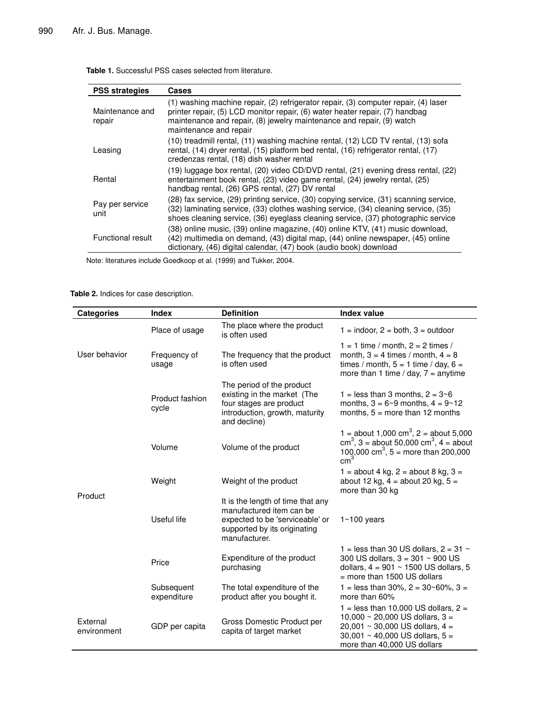| <b>PSS strategies</b>     | Cases                                                                                                                                                                                                                                                                  |
|---------------------------|------------------------------------------------------------------------------------------------------------------------------------------------------------------------------------------------------------------------------------------------------------------------|
| Maintenance and<br>repair | (1) washing machine repair, (2) refrigerator repair, (3) computer repair, (4) laser<br>printer repair, (5) LCD monitor repair, (6) water heater repair, (7) handbag<br>maintenance and repair, (8) jewelry maintenance and repair, (9) watch<br>maintenance and repair |
| Leasing                   | (10) treadmill rental, (11) washing machine rental, (12) LCD TV rental, (13) sofa<br>rental, (14) dryer rental, (15) platform bed rental, (16) refrigerator rental, (17)<br>credenzas rental, (18) dish washer rental                                                  |
| Rental                    | (19) luggage box rental, (20) video CD/DVD rental, (21) evening dress rental, (22)<br>entertainment book rental, (23) video game rental, (24) jewelry rental, (25)<br>handbag rental, (26) GPS rental, (27) DV rental                                                  |
| Pay per service<br>unit   | (28) fax service, (29) printing service, (30) copying service, (31) scanning service,<br>(32) laminating service, (33) clothes washing service, (34) cleaning service, (35)<br>shoes cleaning service, (36) eyeglass cleaning service, (37) photographic service       |
| Functional result         | (38) online music, (39) online magazine, (40) online KTV, (41) music download,<br>(42) multimedia on demand, (43) digital map, (44) online newspaper, (45) online<br>dictionary, (46) digital calendar, (47) book (audio book) download                                |

**Table 1.** Successful PSS cases selected from literature.

Note: literatures include Goedkoop et al. (1999) and Tukker, 2004.

**Table 2.** Indices for case description.

| <b>Categories</b>       | <b>Index</b>              | <b>Definition</b>                                                                                                                                 | <b>Index value</b>                                                                                                                                                                     |
|-------------------------|---------------------------|---------------------------------------------------------------------------------------------------------------------------------------------------|----------------------------------------------------------------------------------------------------------------------------------------------------------------------------------------|
| User behavior           | Place of usage            | The place where the product<br>is often used                                                                                                      | $1 =$ indoor, $2 =$ both, $3 =$ outdoor                                                                                                                                                |
|                         | Frequency of<br>usage     | The frequency that the product<br>is often used                                                                                                   | $1 = 1$ time / month, $2 = 2$ times /<br>month, $3 = 4$ times / month, $4 = 8$<br>times / month, $5 = 1$ time / day, $6 =$<br>more than 1 time / day, $7 =$ anytime                    |
| Product                 | Product fashion<br>cycle  | The period of the product<br>existing in the market (The<br>four stages are product<br>introduction, growth, maturity<br>and decline)             | 1 = less than 3 months, $2 = 3 \times 6$<br>months, $3 = 6 - 9$ months, $4 = 9 - 12$<br>months, $5 =$ more than 12 months                                                              |
|                         | Volume                    | Volume of the product                                                                                                                             | 1 = about 1,000 cm <sup>3</sup> , 2 = about 5,000<br>$cm3$ , 3 = about 50,000 cm <sup>3</sup> , 4 = about<br>100,000 cm <sup>3</sup> , 5 = more than 200,000<br>$\text{cm}^3$          |
|                         | Weight                    | Weight of the product                                                                                                                             | $1 =$ about 4 kg, 2 = about 8 kg, 3 =<br>about 12 kg, $4 =$ about 20 kg, $5 =$<br>more than 30 kg                                                                                      |
|                         | Useful life               | It is the length of time that any<br>manufactured item can be<br>expected to be 'serviceable' or<br>supported by its originating<br>manufacturer. | $1~100$ years                                                                                                                                                                          |
|                         | Price                     | Expenditure of the product<br>purchasing                                                                                                          | 1 = less than 30 US dollars, $2 = 31$ ~<br>300 US dollars, $3 = 301 \sim 900$ US<br>dollars, $4 = 901 \sim 1500$ US dollars, 5<br>$=$ more than 1500 US dollars                        |
|                         | Subsequent<br>expenditure | The total expenditure of the<br>product after you bought it.                                                                                      | 1 = less than 30%, $2 = 30 \times 60$ %, $3 =$<br>more than 60%                                                                                                                        |
| External<br>environment | GDP per capita            | Gross Domestic Product per<br>capita of target market                                                                                             | $1 =$ less than 10,000 US dollars, $2 =$<br>10,000 ~ 20,000 US dollars, $3 =$<br>20,001 ~ 30,000 US dollars, $4 =$<br>30,001 ~ 40,000 US dollars, $5 =$<br>more than 40,000 US dollars |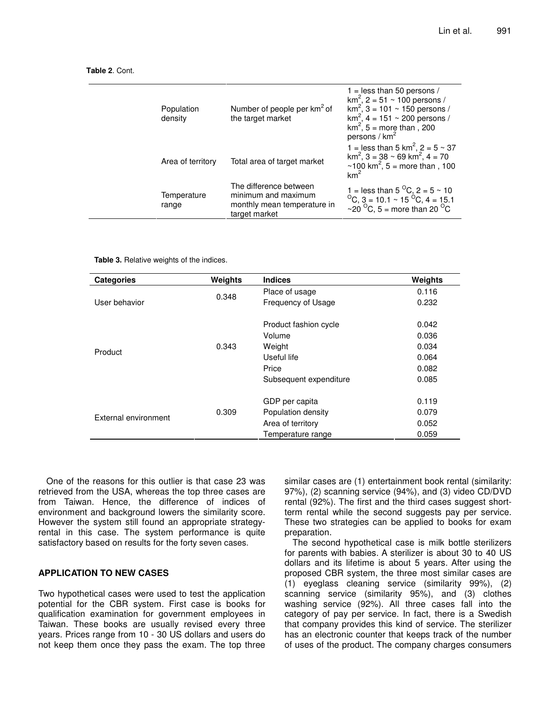| Population<br>density | Number of people per km <sup>2</sup> of<br>the target market                                  | $1 =$ less than 50 persons /<br>$\text{km}^2$ , 2 = 51 ~ 100 persons /<br>$\text{km}^2$ , 3 = 101 ~ 150 persons /<br>$\text{km}^2$ , 4 = 151 ~ 200 persons /<br>$km^2$ , 5 = more than, 200<br>persons / $km2$ |
|-----------------------|-----------------------------------------------------------------------------------------------|----------------------------------------------------------------------------------------------------------------------------------------------------------------------------------------------------------------|
| Area of territory     | Total area of target market                                                                   | 1 = less than 5 km <sup>2</sup> , 2 = $5 \sim 37$<br>$\text{km}^2$ , 3 = 38 ~ 69 km <sup>2</sup> , 4 = 70<br>~100 km <sup>2</sup> , 5 = more than, 100<br>$km^2$                                               |
| Temperature<br>range  | The difference between<br>minimum and maximum<br>monthly mean temperature in<br>target market | 1 = less than 5 $^{\circ}$ C, 2 = 5 ~ 10<br>$^{\circ}$ C, 3 = 10.1 ~ 15 $^{\circ}$ C, 4 = 15.1<br>~20 °C, 5 = more than 20 °C                                                                                  |

**Table 2**. Cont.

**Table 3.** Relative weights of the indices.

| <b>Categories</b>    | Weights | <b>Indices</b>         | Weights |
|----------------------|---------|------------------------|---------|
|                      | 0.348   | Place of usage         | 0.116   |
| User behavior        |         | Frequency of Usage     | 0.232   |
|                      |         | Product fashion cycle  | 0.042   |
|                      | 0.343   | Volume                 | 0.036   |
| Product              |         | Weight                 | 0.034   |
|                      |         | Useful life            | 0.064   |
|                      |         | Price                  | 0.082   |
|                      |         | Subsequent expenditure | 0.085   |
|                      |         | GDP per capita         | 0.119   |
|                      | 0.309   | Population density     | 0.079   |
| External environment |         | Area of territory      | 0.052   |
|                      |         | Temperature range      | 0.059   |

One of the reasons for this outlier is that case 23 was retrieved from the USA, whereas the top three cases are from Taiwan. Hence, the difference of indices of environment and background lowers the similarity score. However the system still found an appropriate strategyrental in this case. The system performance is quite satisfactory based on results for the forty seven cases.

#### **APPLICATION TO NEW CASES**

Two hypothetical cases were used to test the application potential for the CBR system. First case is books for qualification examination for government employees in Taiwan. These books are usually revised every three years. Prices range from 10 - 30 US dollars and users do not keep them once they pass the exam. The top three

similar cases are (1) entertainment book rental (similarity: 97%), (2) scanning service (94%), and (3) video CD/DVD rental (92%). The first and the third cases suggest shortterm rental while the second suggests pay per service. These two strategies can be applied to books for exam preparation.

The second hypothetical case is milk bottle sterilizers for parents with babies. A sterilizer is about 30 to 40 US dollars and its lifetime is about 5 years. After using the proposed CBR system, the three most similar cases are (1) eyeglass cleaning service (similarity 99%), (2) scanning service (similarity 95%), and (3) clothes washing service (92%). All three cases fall into the category of pay per service. In fact, there is a Swedish that company provides this kind of service. The sterilizer has an electronic counter that keeps track of the number of uses of the product. The company charges consumers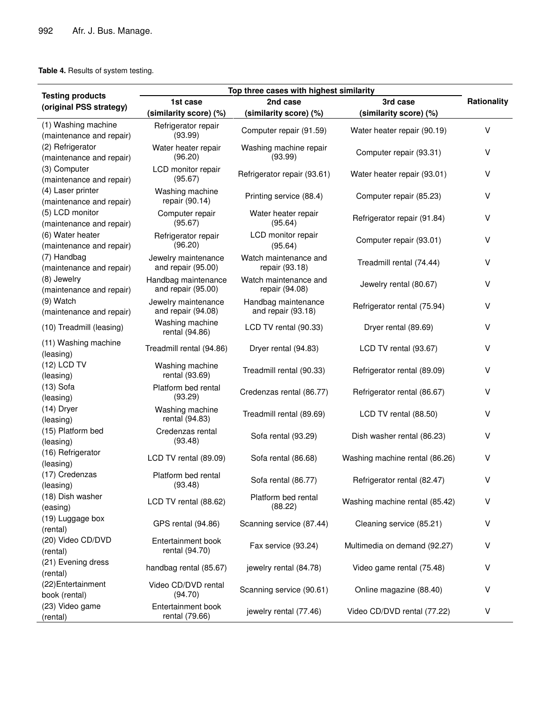# **Table 4.** Results of system testing.

|                          | Top three cases with highest similarity |                                                              |                                |                    |
|--------------------------|-----------------------------------------|--------------------------------------------------------------|--------------------------------|--------------------|
| <b>Testing products</b>  | 1st case                                | 2nd case                                                     | 3rd case                       | <b>Rationality</b> |
| (original PSS strategy)  | (similarity score) (%)                  | (similarity score) (%)                                       | (similarity score) (%)         |                    |
| (1) Washing machine      | Refrigerator repair                     |                                                              |                                |                    |
| (maintenance and repair) | (93.99)                                 | Computer repair (91.59)                                      | Water heater repair (90.19)    | $\vee$             |
| (2) Refrigerator         | Water heater repair                     | Washing machine repair                                       |                                |                    |
| (maintenance and repair) | (96.20)                                 | (93.99)                                                      | Computer repair (93.31)        | $\vee$             |
| (3) Computer             | LCD monitor repair                      |                                                              |                                |                    |
| (maintenance and repair) | (95.67)                                 | Refrigerator repair (93.61)                                  | Water heater repair (93.01)    | V                  |
| (4) Laser printer        |                                         | Washing machine<br>Printing service (88.4)<br>repair (90.14) |                                | V                  |
| (maintenance and repair) |                                         |                                                              | Computer repair (85.23)        |                    |
| (5) LCD monitor          | Computer repair                         | Water heater repair                                          |                                |                    |
| (maintenance and repair) | (95.67)                                 | (95.64)                                                      | Refrigerator repair (91.84)    | V                  |
| (6) Water heater         | Refrigerator repair                     | LCD monitor repair                                           |                                |                    |
| (maintenance and repair) | (96.20)                                 | (95.64)                                                      | Computer repair (93.01)        | V                  |
| (7) Handbag              | Jewelry maintenance                     | Watch maintenance and                                        |                                |                    |
| (maintenance and repair) | and repair (95.00)                      | repair (93.18)                                               | Treadmill rental (74.44)       | V                  |
| (8) Jewelry              | Handbag maintenance                     | Watch maintenance and                                        |                                |                    |
| (maintenance and repair) | and repair (95.00)                      | repair (94.08)                                               | Jewelry rental (80.67)         | V                  |
| (9) Watch                | Jewelry maintenance                     | Handbag maintenance                                          |                                |                    |
| (maintenance and repair) | and repair (94.08)                      | and repair (93.18)                                           | Refrigerator rental (75.94)    | V                  |
|                          | Washing machine                         |                                                              |                                | v                  |
| (10) Treadmill (leasing) | rental (94.86)                          | LCD TV rental (90.33)                                        | Dryer rental (89.69)           |                    |
| (11) Washing machine     | Treadmill rental (94.86)                | Dryer rental (94.83)                                         | LCD TV rental (93.67)          | V                  |
| (leasing)                |                                         |                                                              |                                |                    |
| (12) LCD TV              | Washing machine                         | Treadmill rental (90.33)                                     | Refrigerator rental (89.09)    | v                  |
| (leasing)                | rental (93.69)                          |                                                              |                                |                    |
| $(13)$ Sofa              | Platform bed rental                     | Credenzas rental (86.77)                                     | Refrigerator rental (86.67)    | V                  |
| (leasing)                | (93.29)                                 |                                                              |                                |                    |
| $(14)$ Dryer             | Washing machine                         | Treadmill rental (89.69)                                     | LCD TV rental (88.50)          | V                  |
| (leasing)                | rental (94.83)                          |                                                              |                                |                    |
| (15) Platform bed        | Credenzas rental                        | Sofa rental (93.29)                                          | Dish washer rental (86.23)     | V                  |
| (leasing)                | (93.48)                                 |                                                              |                                |                    |
| (16) Refrigerator        | LCD TV rental (89.09)                   | Sofa rental (86.68)                                          | Washing machine rental (86.26) | v                  |
| (leasing)                |                                         |                                                              |                                |                    |
| (17) Credenzas           | Platform bed rental                     | Sofa rental (86.77)                                          | Refrigerator rental (82.47)    | V                  |
| (leasing)                | (93.48)                                 |                                                              |                                |                    |
| (18) Dish washer         | LCD TV rental (88.62)                   | Platform bed rental                                          | Washing machine rental (85.42) | V                  |
| (easing)                 |                                         | (88.22)                                                      |                                |                    |
| (19) Luggage box         | GPS rental (94.86)                      | Scanning service (87.44)                                     | Cleaning service (85.21)       | V                  |
| (rental)                 |                                         |                                                              |                                |                    |
| (20) Video CD/DVD        | Entertainment book                      | Fax service (93.24)                                          | Multimedia on demand (92.27)   | V                  |
| (rental)                 | rental (94.70)                          |                                                              |                                |                    |
| (21) Evening dress       | handbag rental (85.67)                  | jewelry rental (84.78)                                       | Video game rental (75.48)      | V                  |
| (rental)                 |                                         |                                                              |                                |                    |
| (22) Entertainment       | Video CD/DVD rental                     | Scanning service (90.61)                                     | Online magazine (88.40)        | V                  |
| book (rental)            | (94.70)                                 |                                                              |                                |                    |
| (23) Video game          | Entertainment book                      | jewelry rental (77.46)                                       | Video CD/DVD rental (77.22)    | V                  |
| (rental)                 | rental (79.66)                          |                                                              |                                |                    |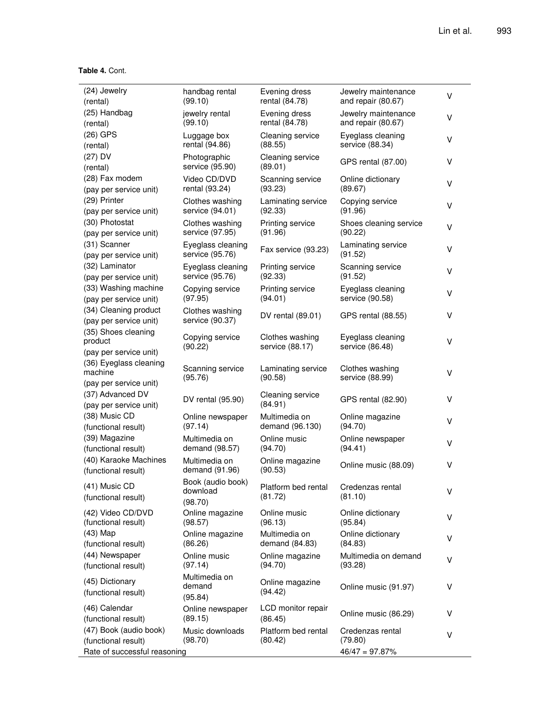## **Table 4.** Cont.

| (24) Jewelry                                                | handbag rental                           | Evening dress                      | Jewelry maintenance                  | V |
|-------------------------------------------------------------|------------------------------------------|------------------------------------|--------------------------------------|---|
| (rental)                                                    | (99.10)                                  | rental (84.78)                     | and repair (80.67)                   |   |
| (25) Handbag                                                | jewelry rental                           | Evening dress                      | Jewelry maintenance                  | V |
| (rental)                                                    | (99.10)                                  | rental (84.78)                     | and repair (80.67)                   |   |
| $(26)$ GPS                                                  | Luggage box                              | Cleaning service                   | Eyeglass cleaning                    | V |
| (rental)                                                    | rental (94.86)                           | (88.55)                            | service (88.34)                      |   |
| $(27)$ DV<br>(rental)                                       | Photographic<br>service (95.90)          | Cleaning service<br>(89.01)        | GPS rental (87.00)                   | V |
| (28) Fax modem                                              | Video CD/DVD                             | Scanning service                   | Online dictionary                    | V |
| (pay per service unit)                                      | rental (93.24)                           | (93.23)                            | (89.67)                              |   |
| (29) Printer                                                | Clothes washing                          | Laminating service                 | Copying service                      | V |
| (pay per service unit)                                      | service (94.01)                          | (92.33)                            | (91.96)                              |   |
| (30) Photostat                                              | Clothes washing                          | Printing service                   | Shoes cleaning service               | v |
| (pay per service unit)                                      | service (97.95)                          | (91.96)                            | (90.22)                              |   |
| (31) Scanner<br>(pay per service unit)                      | Eyeglass cleaning<br>service (95.76)     | Fax service (93.23)                | Laminating service<br>(91.52)        | V |
| (32) Laminator                                              | Eyeglass cleaning                        | Printing service                   | Scanning service                     | V |
| (pay per service unit)                                      | service (95.76)                          | (92.33)                            | (91.52)                              |   |
| (33) Washing machine                                        | Copying service                          | Printing service                   | Eyeglass cleaning                    | V |
| (pay per service unit)                                      | (97.95)                                  | (94.01)                            | service (90.58)                      |   |
| (34) Cleaning product<br>(pay per service unit)             | Clothes washing<br>service (90.37)       | DV rental (89.01)                  | GPS rental (88.55)                   | V |
| (35) Shoes cleaning<br>product<br>(pay per service unit)    | Copying service<br>(90.22)               | Clothes washing<br>service (88.17) | Eyeglass cleaning<br>service (86.48) | V |
| (36) Eyeglass cleaning<br>machine<br>(pay per service unit) | Scanning service<br>(95.76)              | Laminating service<br>(90.58)      | Clothes washing<br>service (88.99)   | V |
| (37) Advanced DV<br>(pay per service unit)                  | DV rental (95.90)                        | Cleaning service<br>(84.91)        | GPS rental (82.90)                   | ٧ |
| (38) Music CD                                               | Online newspaper                         | Multimedia on                      | Online magazine                      | ٧ |
| (functional result)                                         | (97.14)                                  | demand (96.130)                    | (94.70)                              |   |
| (39) Magazine                                               | Multimedia on                            | Online music                       | Online newspaper                     | ٧ |
| (functional result)                                         | demand (98.57)                           | (94.70)                            | (94.41)                              |   |
| (40) Karaoke Machines<br>(functional result)                | Multimedia on<br>demand (91.96)          | Online magazine<br>(90.53)         | Online music (88.09)                 | ٧ |
| (41) Music CD<br>(functional result)                        | Book (audio book)<br>download<br>(98.70) | Platform bed rental<br>(81.72)     | Credenzas rental<br>(81.10)          | V |
| (42) Video CD/DVD                                           | Online magazine                          | Online music                       | Online dictionary                    | V |
| (functional result)                                         | (98.57)                                  | (96.13)                            | (95.84)                              |   |
| $(43)$ Map                                                  | Online magazine                          | Multimedia on                      | Online dictionary                    | v |
| (functional result)                                         | (86.26)                                  | demand (84.83)                     | (84.83)                              |   |
| (44) Newspaper                                              | Online music                             | Online magazine                    | Multimedia on demand                 | V |
| (functional result)                                         | (97.14)                                  | (94.70)                            | (93.28)                              |   |
| (45) Dictionary<br>(functional result)                      | Multimedia on<br>demand<br>(95.84)       | Online magazine<br>(94.42)         | Online music (91.97)                 | V |
| (46) Calendar<br>(functional result)                        | Online newspaper<br>(89.15)              | LCD monitor repair<br>(86.45)      | Online music (86.29)                 | v |
| (47) Book (audio book)                                      | Music downloads                          | Platform bed rental                | Credenzas rental                     | V |
| (functional result)                                         | (98.70)                                  | (80.42)                            | (79.80)                              |   |
| Rate of successful reasoning                                |                                          |                                    | $46/47 = 97.87\%$                    |   |